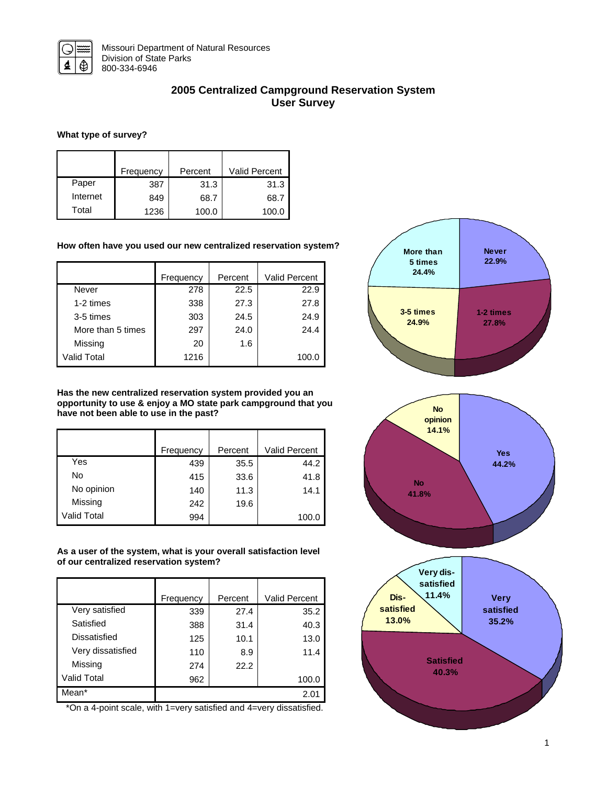

# **2005 Centralized Campground Reservation System User Survey**

## **What type of survey?**

|          | Frequency | Percent | <b>Valid Percent</b> |
|----------|-----------|---------|----------------------|
| Paper    | 387       | 31.3    | 31.3                 |
| Internet | 849       | 68.7    | 68.7                 |
| Total    | 1236      | 100.0   | 100.0                |

### **How often have you used our new centralized reservation system?**

|                    | Frequency | Percent | <b>Valid Percent</b> |
|--------------------|-----------|---------|----------------------|
| Never              | 278       | 22.5    | 22.9                 |
| 1-2 times          | 338       | 27.3    | 27.8                 |
| 3-5 times          | 303       | 24.5    | 24.9                 |
| More than 5 times  | 297       | 24.0    | 24.4                 |
| Missing            | 20        | 1.6     |                      |
| <b>Valid Total</b> | 1216      |         | 100.0                |

**Has the new centralized reservation system provided you an opportunity to use & enjoy a MO state park campground that you have not been able to use in the past?** 

|             | Frequency | Percent | <b>Valid Percent</b> |
|-------------|-----------|---------|----------------------|
| Yes         | 439       | 35.5    | 44.2                 |
| No          | 415       | 33.6    | 41.8                 |
| No opinion  | 140       | 11.3    | 14.1                 |
| Missing     | 242       | 19.6    |                      |
| Valid Total | 994       |         | 100.0                |

#### **As a user of the system, what is your overall satisfaction level of our centralized reservation system?**

|                   | Frequency | Percent | <b>Valid Percent</b> |
|-------------------|-----------|---------|----------------------|
| Very satisfied    | 339       | 27.4    | 35.2                 |
| Satisfied         | 388       | 31.4    | 40.3                 |
| Dissatisfied      | 125       | 10.1    | 13.0                 |
| Very dissatisfied | 110       | 8.9     | 11.4                 |
| Missing           | 274       | 22.2    |                      |
| Valid Total       | 962       |         | 100.0                |
| Mean*             |           |         | 2.01                 |

\*On a 4-point scale, with 1=very satisfied and 4=very dissatisfied.



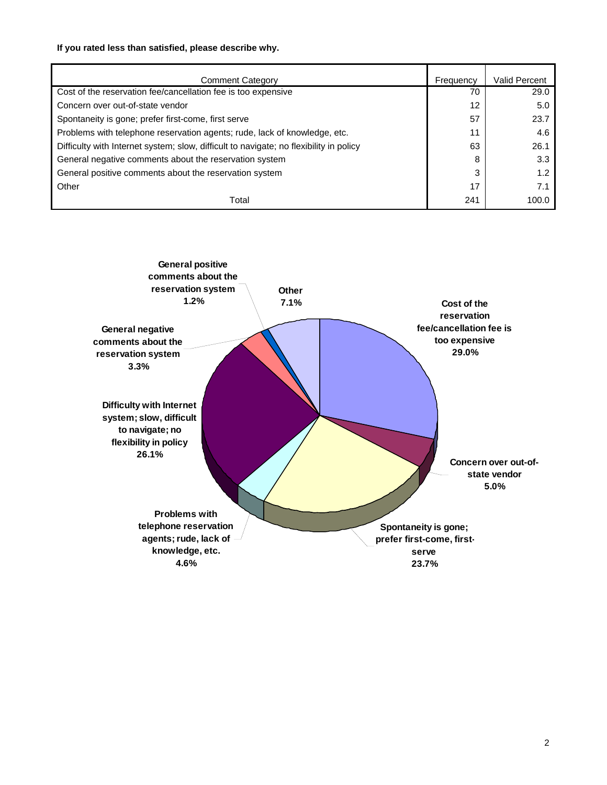#### **If you rated less than satisfied, please describe why.**

| <b>Comment Category</b>                                                                | Frequency         | <b>Valid Percent</b> |
|----------------------------------------------------------------------------------------|-------------------|----------------------|
| Cost of the reservation fee/cancellation fee is too expensive                          | 70                | 29.0                 |
| Concern over out-of-state vendor                                                       | $12 \overline{ }$ | 5.0                  |
| Spontaneity is gone; prefer first-come, first serve                                    | 57                | 23.7                 |
| Problems with telephone reservation agents; rude, lack of knowledge, etc.              | 11                | 4.6                  |
| Difficulty with Internet system; slow, difficult to navigate; no flexibility in policy | 63                | 26.1                 |
| General negative comments about the reservation system                                 | 8                 | 3.3                  |
| General positive comments about the reservation system                                 | 3                 | 1.2                  |
| Other                                                                                  | 17                | 7.1                  |
| Total                                                                                  | 241               | 100.0                |

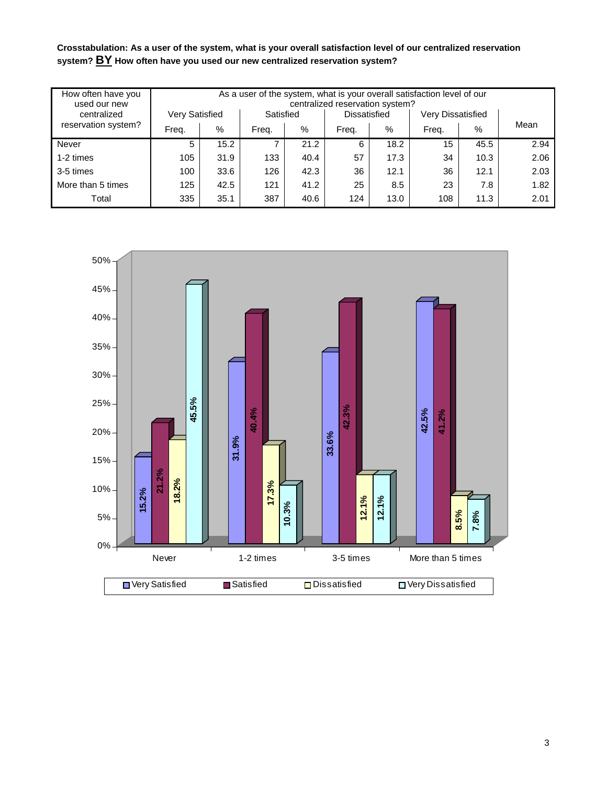**Crosstabulation: As a user of the system, what is your overall satisfaction level of our centralized reservation system? BY How often have you used our new centralized reservation system?** 

| How often have you<br>used our new<br>centralized | As a user of the system, what is your overall satisfaction level of our<br>centralized reservation system?<br>Very Dissatisfied<br>Very Satisfied<br><b>Dissatisfied</b><br>Satisfied |      |       |      |       |      |       |      |      |
|---------------------------------------------------|---------------------------------------------------------------------------------------------------------------------------------------------------------------------------------------|------|-------|------|-------|------|-------|------|------|
| reservation system?                               | Freq.                                                                                                                                                                                 | %    | Frea. | %    | Frea. | %    | Frea. | %    | Mean |
| Never                                             | 5                                                                                                                                                                                     | 15.2 |       | 21.2 | 6     | 18.2 | 15    | 45.5 | 2.94 |
| 1-2 times                                         | 105                                                                                                                                                                                   | 31.9 | 133   | 40.4 | 57    | 17.3 | 34    | 10.3 | 2.06 |
| 3-5 times                                         | 100                                                                                                                                                                                   | 33.6 | 126   | 42.3 | 36    | 12.1 | 36    | 12.1 | 2.03 |
| More than 5 times                                 | 125                                                                                                                                                                                   | 42.5 | 121   | 41.2 | 25    | 8.5  | 23    | 7.8  | 1.82 |
| Total                                             | 335                                                                                                                                                                                   | 35.1 | 387   | 40.6 | 124   | 13.0 | 108   | 11.3 | 2.01 |

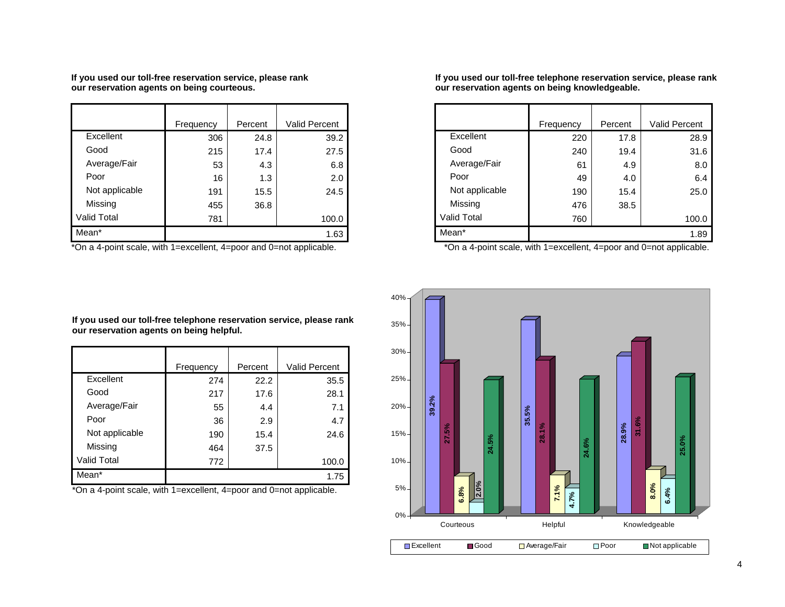**If you used our toll-free reservation service, please rank our reservation agents on being courteous.** 

|                    | Frequency | Percent | <b>Valid Percent</b> |
|--------------------|-----------|---------|----------------------|
| Excellent          | 306       | 24.8    | 39.2                 |
| Good               | 215       | 17.4    | 27.5                 |
| Average/Fair       | 53        | 4.3     | 6.8                  |
| Poor               | 16        | 1.3     | 2.0                  |
| Not applicable     | 191       | 15.5    | 24.5                 |
| Missing            | 455       | 36.8    |                      |
| <b>Valid Total</b> | 781       |         | 100.0                |
| Mean*              |           |         | 1.63                 |

\*On a 4-point scale, with 1=excellent, 4=poor and 0=not applicable.

**If you used our toll-free telephone reservation service, please rank our reservation agents on being knowledgeable.** 

|                    | Frequency | Percent | <b>Valid Percent</b> |
|--------------------|-----------|---------|----------------------|
| Excellent          | 220       | 17.8    | 28.9                 |
|                    |           |         |                      |
| Good               | 240       | 19.4    | 31.6                 |
| Average/Fair       | 61        | 4.9     | 8.0                  |
| Poor               | 49        | 4.0     | 6.4                  |
| Not applicable     | 190       | 15.4    | 25.0                 |
| Missing            | 476       | 38.5    |                      |
| <b>Valid Total</b> | 760       |         | 100.0                |
| Mean*              |           |         | 1.89                 |

\*On a 4-point scale, with 1=excellent, 4=poor and 0=not applicable.



**If you used our toll-free telephone reservation service, please rank our reservation agents on being helpful.** 

|                    | Frequency | Percent | <b>Valid Percent</b> |
|--------------------|-----------|---------|----------------------|
| Excellent          | 274       | 22.2    | 35.5                 |
| Good               | 217       | 17.6    | 28.1                 |
| Average/Fair       | 55        | 4.4     | 7.1                  |
| Poor               | 36        | 2.9     | 4.7                  |
| Not applicable     | 190       | 15.4    | 24.6                 |
| Missing            | 464       | 37.5    |                      |
| <b>Valid Total</b> | 772       |         | 100.0                |
| Mean*              |           |         | 1.75                 |

\*On a 4-point scale, with 1=excellent, 4=poor and 0=not applicable.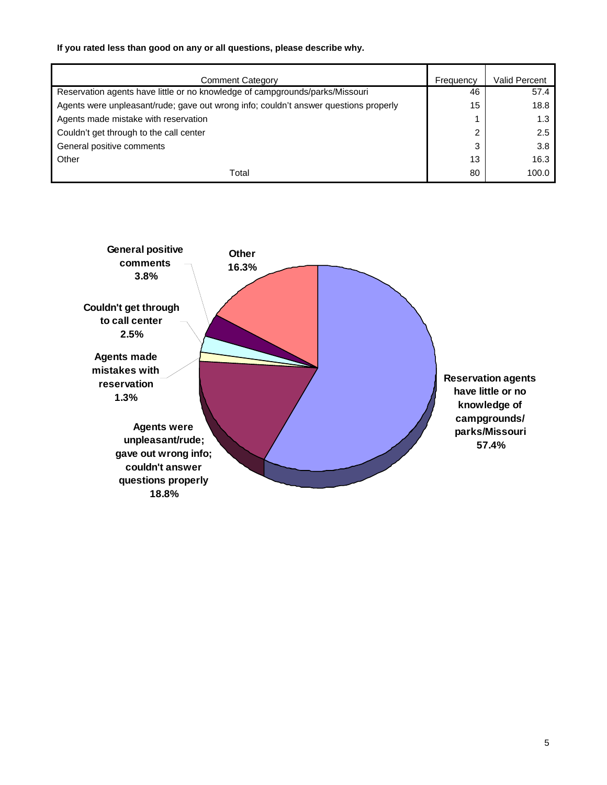#### **If you rated less than good on any or all questions, please describe why.**

| Comment Category                                                                     | Frequency | Valid Percent |
|--------------------------------------------------------------------------------------|-----------|---------------|
| Reservation agents have little or no knowledge of campgrounds/parks/Missouri         | 46        | 57.4          |
| Agents were unpleasant/rude; gave out wrong info; couldn't answer questions properly | 15        | 18.8          |
| Agents made mistake with reservation                                                 |           | 1.3           |
| Couldn't get through to the call center                                              | ົ         | 2.5           |
| General positive comments                                                            | 3         | 3.8           |
| Other                                                                                | 13        | 16.3          |
| Total                                                                                | 80        | 100.0         |

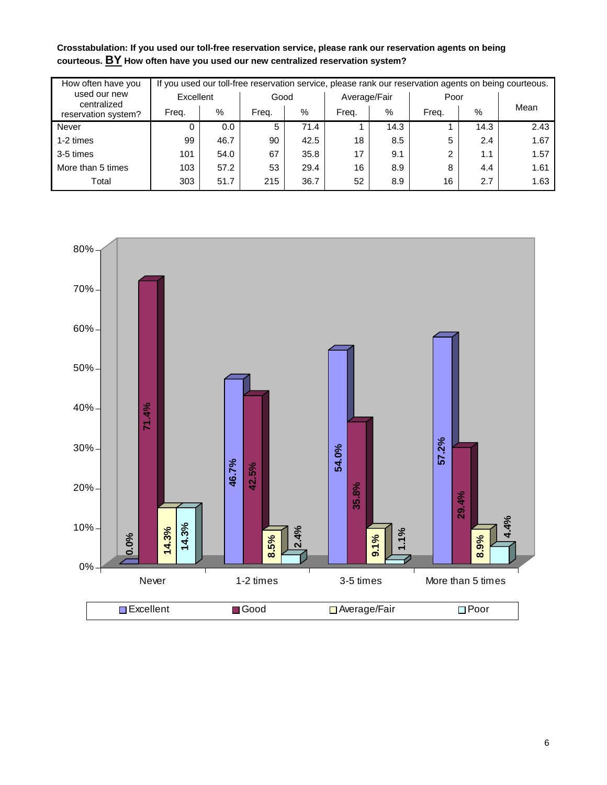**Crosstabulation: If you used our toll-free reservation service, please rank our reservation agents on being courteous. BY How often have you used our new centralized reservation system?** 

| How often have you                 | If you used our toll-free reservation service, please rank our reservation agents on being courteous. |      |       |      |              |      |       |      |      |
|------------------------------------|-------------------------------------------------------------------------------------------------------|------|-------|------|--------------|------|-------|------|------|
| used our new                       | Excellent                                                                                             |      | Good  |      | Average/Fair |      | Poor  |      |      |
| centralized<br>reservation system? | Frea.                                                                                                 | %    | Freq. | $\%$ | Frea.        | %    | Frea. | $\%$ | Mean |
| Never                              | 0                                                                                                     | 0.0  | 5     | 71.4 |              | 14.3 |       | 14.3 | 2.43 |
| 1-2 times                          | 99                                                                                                    | 46.7 | 90    | 42.5 | 18           | 8.5  | 5     | 2.4  | 1.67 |
| 3-5 times                          | 101                                                                                                   | 54.0 | 67    | 35.8 | 17           | 9.1  | 2     | 1.1  | 1.57 |
| More than 5 times                  | 103                                                                                                   | 57.2 | 53    | 29.4 | 16           | 8.9  | 8     | 4.4  | 1.61 |
| Total                              | 303                                                                                                   | 51.7 | 215   | 36.7 | 52           | 8.9  | 16    | 2.7  | 1.63 |

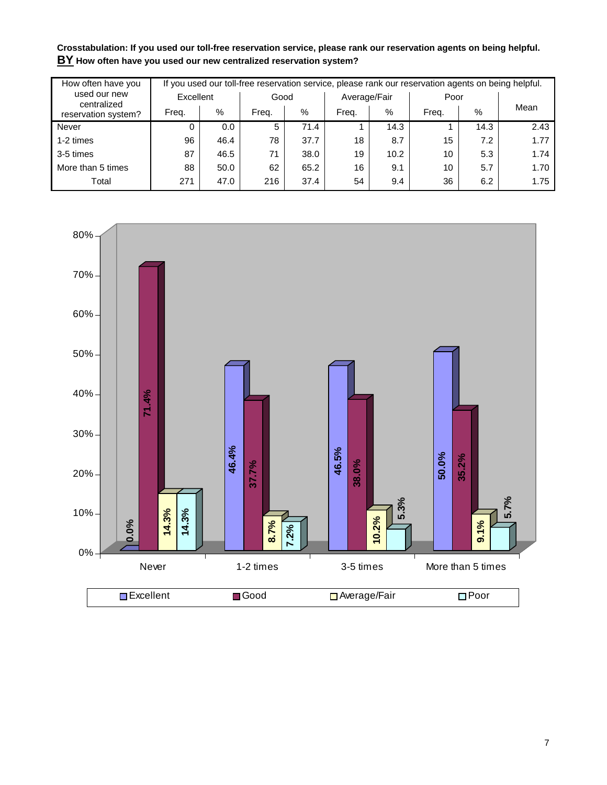**Crosstabulation: If you used our toll-free reservation service, please rank our reservation agents on being helpful. BY How often have you used our new centralized reservation system?** 

| How often have you                 |           | If you used our toll-free reservation service, please rank our reservation agents on being helpful. |       |      |              |      |       |      |      |
|------------------------------------|-----------|-----------------------------------------------------------------------------------------------------|-------|------|--------------|------|-------|------|------|
| used our new                       | Excellent |                                                                                                     | Good  |      | Average/Fair |      | Poor  |      |      |
| centralized<br>reservation system? | Frea.     | %                                                                                                   | Freq. | $\%$ | Frea.        | %    | Frea. | %    | Mean |
| Never                              |           | 0.0                                                                                                 | 5     | 71.4 |              | 14.3 |       | 14.3 | 2.43 |
| 1-2 times                          | 96        | 46.4                                                                                                | 78    | 37.7 | 18           | 8.7  | 15    | 7.2  | 1.77 |
| 3-5 times                          | 87        | 46.5                                                                                                | 71    | 38.0 | 19           | 10.2 | 10    | 5.3  | 1.74 |
| More than 5 times                  | 88        | 50.0                                                                                                | 62    | 65.2 | 16           | 9.1  | 10    | 5.7  | 1.70 |
| Total                              | 271       | 47.0                                                                                                | 216   | 37.4 | 54           | 9.4  | 36    | 6.2  | 1.75 |

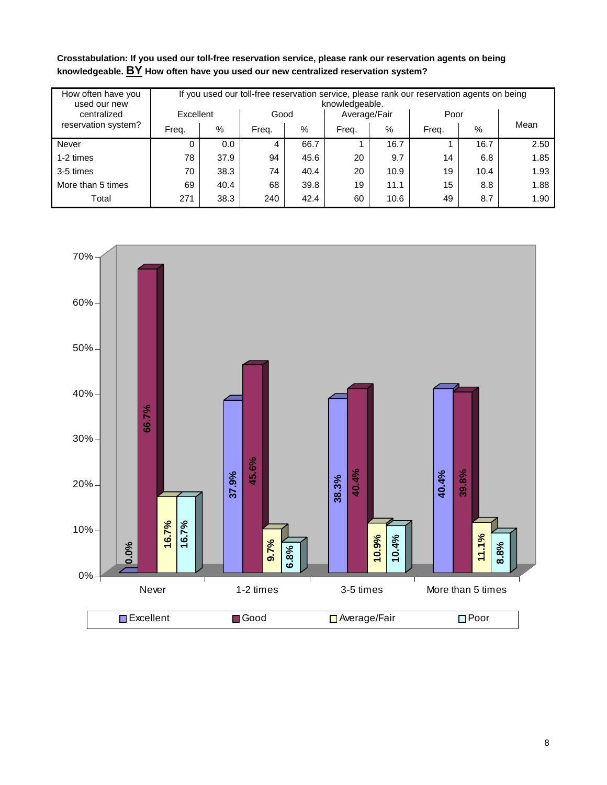**Crosstabulation: If you used our toll-free reservation service, please rank our reservation agents on being knowledgeable. BY How often have you used our new centralized reservation system?** 

| How often have you<br>used our new |           | If you used our toll-free reservation service, please rank our reservation agents on being<br>knowledgeable. |       |      |              |      |       |      |      |  |  |
|------------------------------------|-----------|--------------------------------------------------------------------------------------------------------------|-------|------|--------------|------|-------|------|------|--|--|
| centralized                        | Excellent |                                                                                                              | Good  |      | Average/Fair |      | Poor  |      |      |  |  |
| reservation system?                | Freq.     | %                                                                                                            | Frea. | $\%$ | Frea.        | %    | Frea. | %    | Mean |  |  |
| Never                              | 0         | 0.0                                                                                                          | 4     | 66.7 |              | 16.7 |       | 16.7 | 2.50 |  |  |
| 1-2 times                          | 78        | 37.9                                                                                                         | 94    | 45.6 | 20           | 9.7  | 14    | 6.8  | 1.85 |  |  |
| 3-5 times                          | 70        | 38.3                                                                                                         | 74    | 40.4 | 20           | 10.9 | 19    | 10.4 | 1.93 |  |  |
| More than 5 times                  | 69        | 40.4                                                                                                         | 68    | 39.8 | 19           | 11.1 | 15    | 8.8  | 1.88 |  |  |
| Total                              | 271       | 38.3                                                                                                         | 240   | 42.4 | 60           | 10.6 | 49    | 8.7  | 1.90 |  |  |

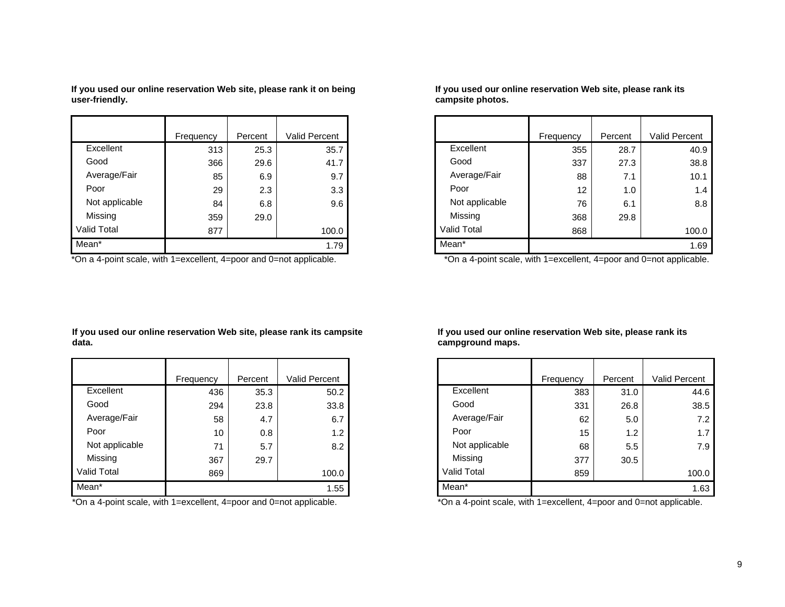|                    | Frequency | Percent | <b>Valid Percent</b> |
|--------------------|-----------|---------|----------------------|
| Excellent          | 313       | 25.3    | 35.7                 |
| Good               | 366       | 29.6    | 41.7                 |
| Average/Fair       | 85        | 6.9     | 9.7                  |
| Poor               | 29        | 2.3     | 3.3                  |
| Not applicable     | 84        | 6.8     | 9.6                  |
| Missing            | 359       | 29.0    |                      |
| <b>Valid Total</b> | 877       |         | 100.0                |
| Mean*              |           |         | 1.79                 |

**If you used our online reservation Web site, please rank it on being user-friendly.** 

\*On a 4-point scale, with 1=excellent, 4=poor and 0=not applicable.

**If you used our online reservation Web site, please rank its campsite photos.** 

|                    | Frequency | Percent | <b>Valid Percent</b> |
|--------------------|-----------|---------|----------------------|
| Excellent          | 355       | 28.7    | 40.9                 |
| Good               | 337       | 27.3    | 38.8                 |
| Average/Fair       | 88        | 7.1     | 10.1                 |
| Poor               | 12        | 1.0     | 1.4                  |
| Not applicable     | 76        | 6.1     | 8.8                  |
| Missing            | 368       | 29.8    |                      |
| <b>Valid Total</b> | 868       |         | 100.0                |
| Mean*              |           |         | 1.69                 |

\*On a 4-point scale, with 1=excellent, 4=poor and 0=not applicable.

**If you used our online reservation Web site, please rank its campsite data.** 

|                    | Frequency | Percent | <b>Valid Percent</b> |
|--------------------|-----------|---------|----------------------|
| Excellent          | 436       | 35.3    | 50.2                 |
| Good               | 294       | 23.8    | 33.8                 |
| Average/Fair       | 58        | 4.7     | 6.7                  |
| Poor               | 10        | 0.8     | 1.2                  |
| Not applicable     | 71        | 5.7     | 8.2                  |
| Missing            | 367       | 29.7    |                      |
| <b>Valid Total</b> | 869       |         | 100.0                |
| Mean*              |           |         | 1.55                 |

\*On a 4-point scale, with 1=excellent, 4=poor and 0=not applicable.

**If you used our online reservation Web site, please rank its campground maps.** 

|                    | Frequency | Percent | <b>Valid Percent</b> |
|--------------------|-----------|---------|----------------------|
| Excellent          | 383       | 31.0    | 44.6                 |
| Good               | 331       | 26.8    | 38.5                 |
| Average/Fair       | 62        | 5.0     | 7.2                  |
| Poor               | 15        | 1.2     | 1.7                  |
| Not applicable     | 68        | 5.5     | 7.9                  |
| Missing            | 377       | 30.5    |                      |
| <b>Valid Total</b> | 859       |         | 100.0                |
| Mean*              |           |         | 1.63                 |

\*On a 4-point scale, with 1=excellent, 4=poor and 0=not applicable.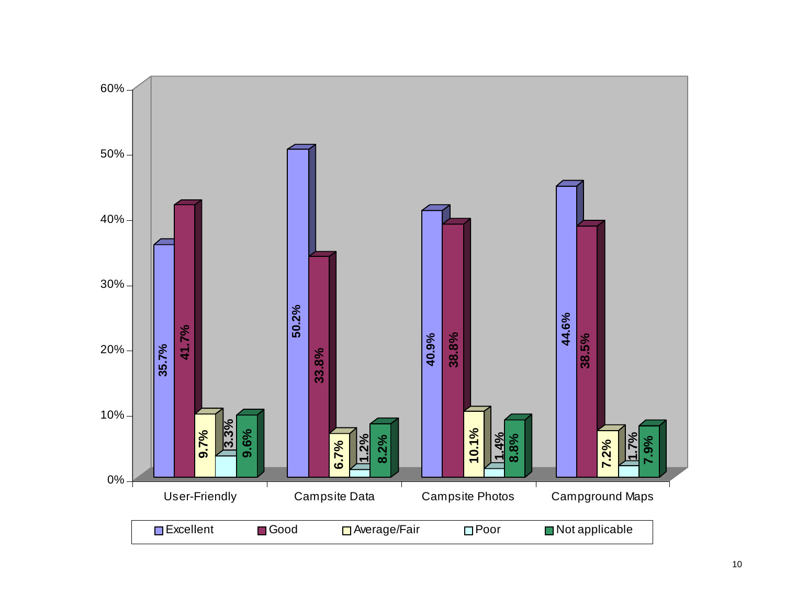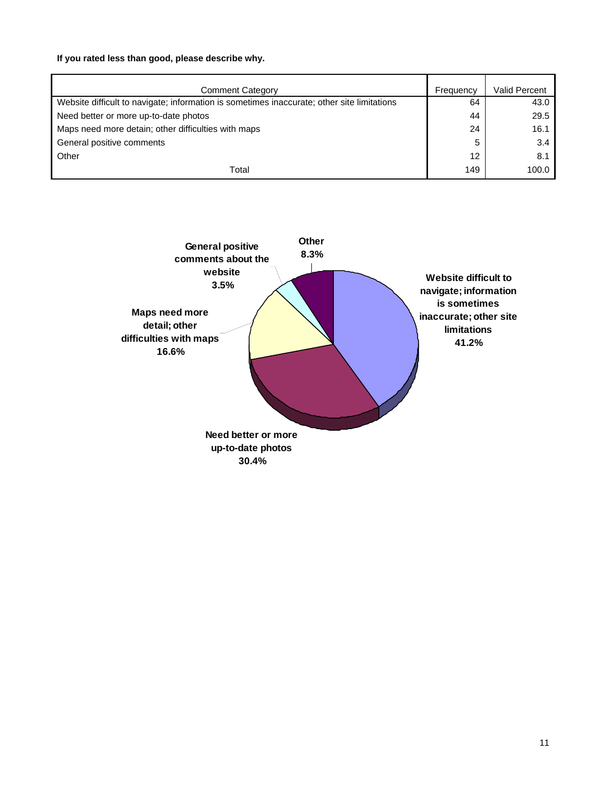## **If you rated less than good, please describe why.**

| Comment Category                                                                           | Frequency | Valid Percent |
|--------------------------------------------------------------------------------------------|-----------|---------------|
| Website difficult to navigate; information is sometimes inaccurate; other site limitations | 64        | 43.0          |
| Need better or more up-to-date photos                                                      | 44        | 29.5          |
| Maps need more detain; other difficulties with maps                                        | 24        | 16.1          |
| General positive comments                                                                  | 5         | 3.4           |
| Other                                                                                      | 12        | 8.1           |
| Total                                                                                      | 149       | 100.0         |

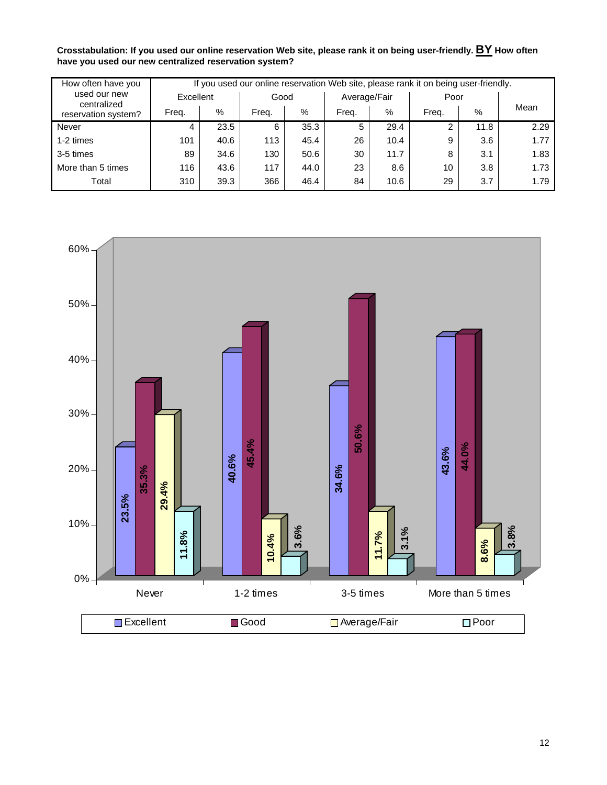**Crosstabulation: If you used our online reservation Web site, please rank it on being user-friendly. BY How often have you used our new centralized reservation system?** 

| How often have you          |           | If you used our online reservation Web site, please rank it on being user-friendly. |       |      |              |      |       |      |      |  |  |
|-----------------------------|-----------|-------------------------------------------------------------------------------------|-------|------|--------------|------|-------|------|------|--|--|
| used our new<br>centralized | Excellent |                                                                                     | Good  |      | Average/Fair |      | Poor  |      |      |  |  |
| reservation system?         | Frea.     | $\%$                                                                                | Frea. | %    | Frea.        | %    | Freq. | $\%$ | Mean |  |  |
| Never                       | 4         | 23.5                                                                                | 6     | 35.3 | 5            | 29.4 |       | 11.8 | 2.29 |  |  |
| 1-2 times                   | 101       | 40.6                                                                                | 113   | 45.4 | 26           | 10.4 | 9     | 3.6  | 1.77 |  |  |
| 3-5 times                   | 89        | 34.6                                                                                | 130   | 50.6 | 30           | 11.7 | 8     | 3.1  | 1.83 |  |  |
| More than 5 times           | 116       | 43.6                                                                                | 117   | 44.0 | 23           | 8.6  | 10    | 3.8  | 1.73 |  |  |
| Total                       | 310       | 39.3                                                                                | 366   | 46.4 | 84           | 10.6 | 29    | 3.7  | 1.79 |  |  |

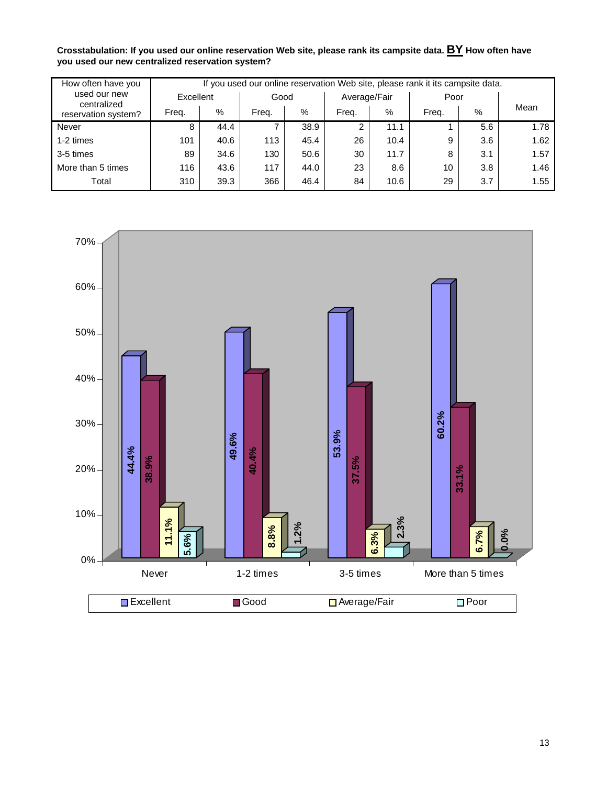**Crosstabulation: If you used our online reservation Web site, please rank its campsite data. BY How often have you used our new centralized reservation system?** 

| How often have you          |           | If you used our online reservation Web site, please rank it its campsite data. |       |      |              |      |       |     |      |  |
|-----------------------------|-----------|--------------------------------------------------------------------------------|-------|------|--------------|------|-------|-----|------|--|
| used our new<br>centralized | Excellent |                                                                                | Good  |      | Average/Fair |      | Poor  |     |      |  |
| reservation system?         | Frea.     | %                                                                              | Freq. | %    | Frea.        | %    | Freq. | %   | Mean |  |
| Never                       | 8         | 44.4                                                                           |       | 38.9 | 2            | 11.1 |       | 5.6 | 1.78 |  |
| 1-2 times                   | 101       | 40.6                                                                           | 113   | 45.4 | 26           | 10.4 | 9     | 3.6 | 1.62 |  |
| 3-5 times                   | 89        | 34.6                                                                           | 130   | 50.6 | 30           | 11.7 | 8     | 3.1 | 1.57 |  |
| More than 5 times           | 116       | 43.6                                                                           | 117   | 44.0 | 23           | 8.6  | 10    | 3.8 | 1.46 |  |
| Total                       | 310       | 39.3                                                                           | 366   | 46.4 | 84           | 10.6 | 29    | 3.7 | 1.55 |  |

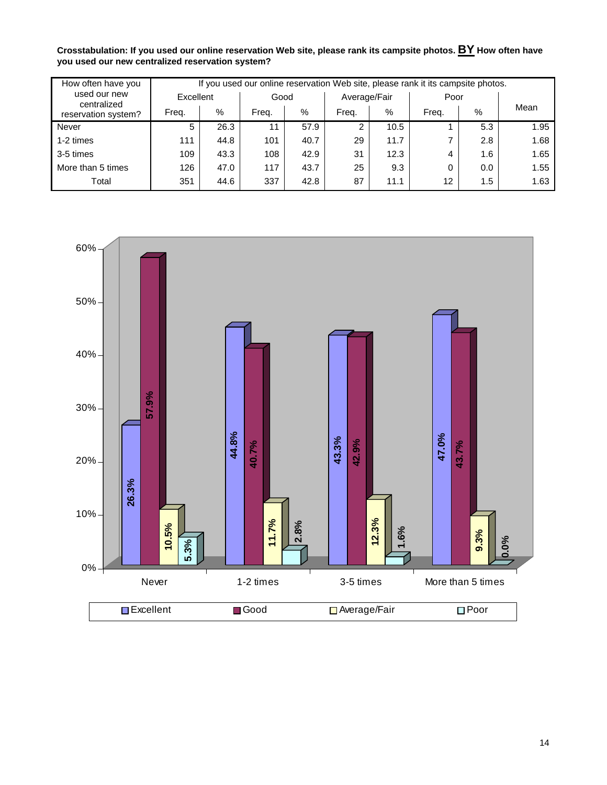**Crosstabulation: If you used our online reservation Web site, please rank its campsite photos. BY How often have you used our new centralized reservation system?** 

| How often have you          |           | If you used our online reservation Web site, please rank it its campsite photos. |       |      |              |      |       |     |      |  |  |
|-----------------------------|-----------|----------------------------------------------------------------------------------|-------|------|--------------|------|-------|-----|------|--|--|
| used our new<br>centralized | Excellent |                                                                                  | Good  |      | Average/Fair |      | Poor  |     |      |  |  |
| reservation system?         | Freq.     | %                                                                                | Freq. | %    | Frea.        | %    | Freq. | %   | Mean |  |  |
| Never                       | 5         | 26.3                                                                             | 11    | 57.9 | 2            | 10.5 |       | 5.3 | 1.95 |  |  |
| 1-2 times                   | 111       | 44.8                                                                             | 101   | 40.7 | 29           | 11.7 |       | 2.8 | 1.68 |  |  |
| 3-5 times                   | 109       | 43.3                                                                             | 108   | 42.9 | 31           | 12.3 | 4     | 1.6 | 1.65 |  |  |
| More than 5 times           | 126       | 47.0                                                                             | 117   | 43.7 | 25           | 9.3  | 0     | 0.0 | 1.55 |  |  |
| Total                       | 351       | 44.6                                                                             | 337   | 42.8 | 87           | 11.1 | 12    | 1.5 | 1.63 |  |  |

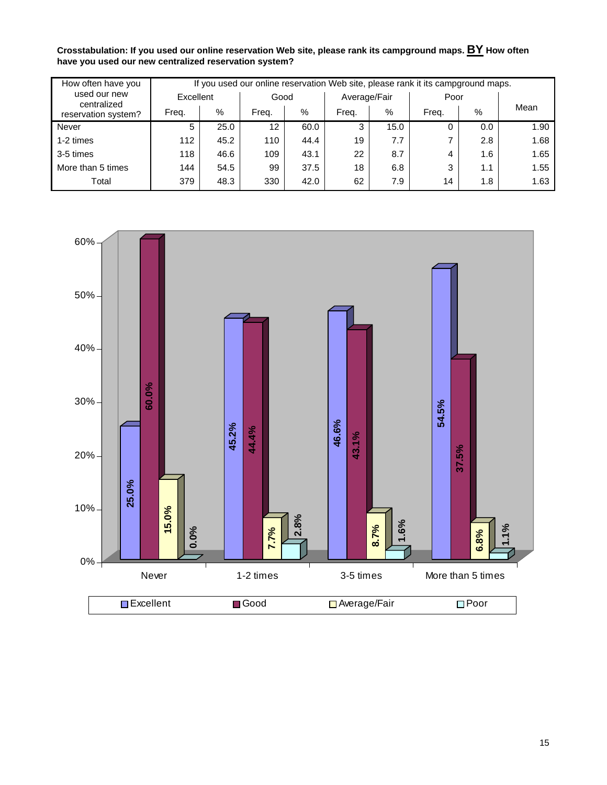**Crosstabulation: If you used our online reservation Web site, please rank its campground maps. BY How often have you used our new centralized reservation system?** 

| How often have you          |           | If you used our online reservation Web site, please rank it its campground maps. |       |      |              |      |       |     |      |  |
|-----------------------------|-----------|----------------------------------------------------------------------------------|-------|------|--------------|------|-------|-----|------|--|
| used our new<br>centralized | Excellent |                                                                                  | Good  |      | Average/Fair |      | Poor  |     |      |  |
| reservation system?         | Freq.     | %                                                                                | Frea. | %    | Frea.        | %    | Frea. | %   | Mean |  |
| Never                       | 5         | 25.0                                                                             | 12    | 60.0 | 3            | 15.0 |       | 0.0 | 1.90 |  |
| 1-2 times                   | 112       | 45.2                                                                             | 110   | 44.4 | 19           | 7.7  |       | 2.8 | 1.68 |  |
| 3-5 times                   | 118       | 46.6                                                                             | 109   | 43.1 | 22           | 8.7  | 4     | 1.6 | 1.65 |  |
| More than 5 times           | 144       | 54.5                                                                             | 99    | 37.5 | 18           | 6.8  | 3     | 1.1 | 1.55 |  |
| Total                       | 379       | 48.3                                                                             | 330   | 42.0 | 62           | 7.9  | 14    | 1.8 | 1.63 |  |

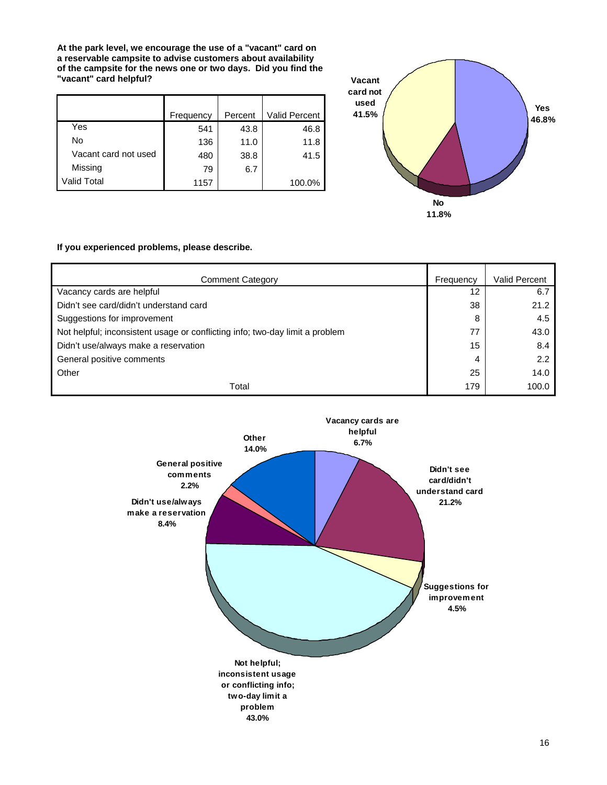**At the park level, we encourage the use of a "vacant" card on a reservable campsite to advise customers about availability of the campsite for the news one or two days. Did you find the "vacant" card helpful?** 

|                      | Frequency | Percent | <b>Valid Percent</b> |
|----------------------|-----------|---------|----------------------|
| Yes                  | 541       | 43.8    | 46.8                 |
| No                   | 136       | 11.0    | 11.8                 |
| Vacant card not used | 480       | 38.8    | 41.5                 |
| Missing              | 79        | 6.7     |                      |
| Valid Total          | 1157      |         | 100.0%               |



## **If you experienced problems, please describe.**

| <b>Comment Category</b>                                                      | Frequency | Valid Percent |
|------------------------------------------------------------------------------|-----------|---------------|
| Vacancy cards are helpful                                                    | 12        | 6.7           |
| Didn't see card/didn't understand card                                       | 38        | 21.2          |
| Suggestions for improvement                                                  | 8         | 4.5           |
| Not helpful; inconsistent usage or conflicting info; two-day limit a problem | 77        | 43.0          |
| Didn't use/always make a reservation                                         | 15        | 8.4           |
| General positive comments                                                    | 4         | $2.2^{\circ}$ |
| Other                                                                        | 25        | 14.0          |
| Total                                                                        | 179       | 100.0         |

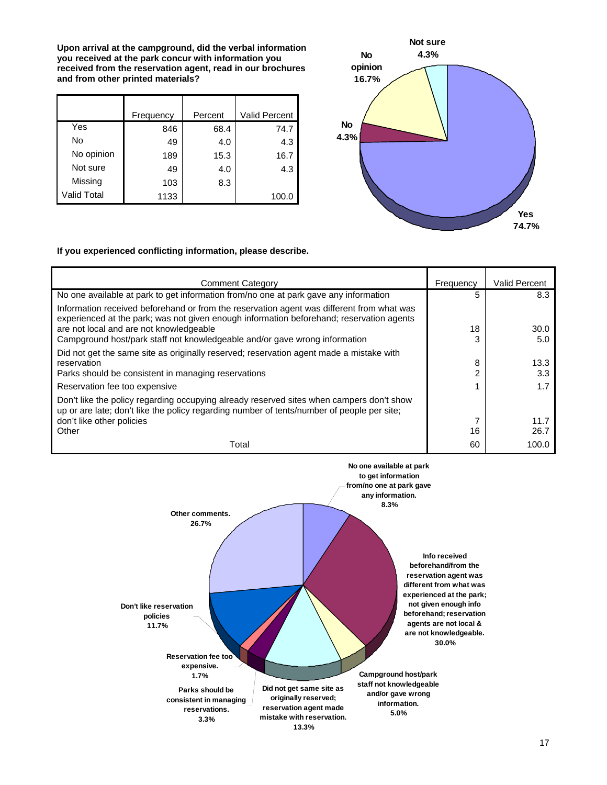**Upon arrival at the campground, did the verbal information you received at the park concur with information you received from the reservation agent, read in our brochures and from other printed materials?** 

|                    | Frequency | Percent | Valid Percent |  |
|--------------------|-----------|---------|---------------|--|
| Yes                | 846       | 68.4    | 74.7          |  |
| No                 | 49        | 4.0     | 4.3           |  |
| No opinion         | 189       | 15.3    | 16.7          |  |
| Not sure           | 49        | 4.0     | 4.3           |  |
| Missing            | 103       | 8.3     |               |  |
| <b>Valid Total</b> | 1133      |         | 100.0         |  |



#### **If you experienced conflicting information, please describe.**

| <b>Comment Category</b>                                                                                                                                                                | Frequency | <b>Valid Percent</b> |
|----------------------------------------------------------------------------------------------------------------------------------------------------------------------------------------|-----------|----------------------|
| No one available at park to get information from/no one at park gave any information                                                                                                   | 5         | 8.3                  |
| Information received beforehand or from the reservation agent was different from what was<br>experienced at the park; was not given enough information beforehand; reservation agents  |           |                      |
| are not local and are not knowledgeable                                                                                                                                                | 18        | 30.0                 |
| Campground host/park staff not knowledgeable and/or gave wrong information                                                                                                             | 3         | 5.0                  |
| Did not get the same site as originally reserved; reservation agent made a mistake with                                                                                                |           |                      |
| reservation                                                                                                                                                                            | 8         | 13.3                 |
| Parks should be consistent in managing reservations                                                                                                                                    | 2         | 3.3                  |
| Reservation fee too expensive                                                                                                                                                          |           | 1.7                  |
| Don't like the policy regarding occupying already reserved sites when campers don't show<br>up or are late; don't like the policy regarding number of tents/number of people per site; |           |                      |
| don't like other policies                                                                                                                                                              |           | 11.7                 |
| Other                                                                                                                                                                                  | 16        | 26.7                 |
| Total                                                                                                                                                                                  | 60        | 100.0                |

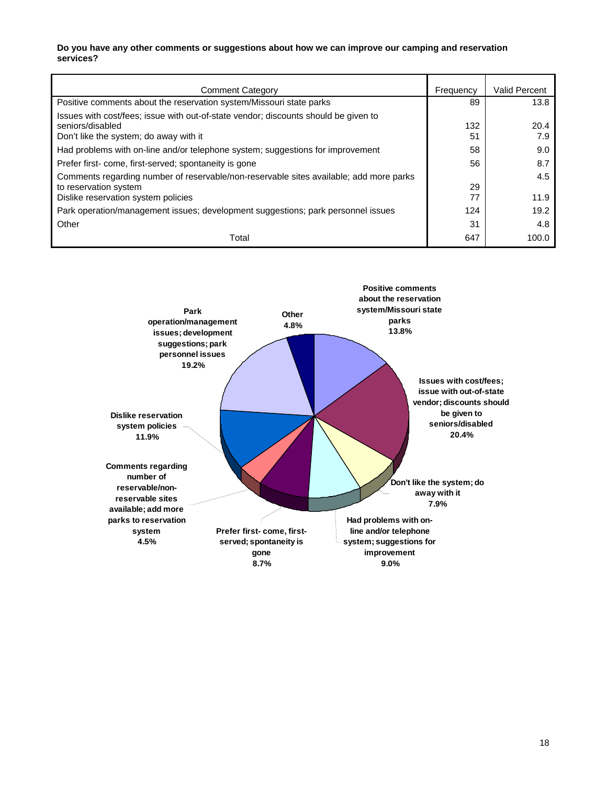#### **Do you have any other comments or suggestions about how we can improve our camping and reservation services?**

| <b>Comment Category</b>                                                                                 | Frequency | <b>Valid Percent</b> |
|---------------------------------------------------------------------------------------------------------|-----------|----------------------|
| Positive comments about the reservation system/Missouri state parks                                     | 89        | 13.8                 |
| Issues with cost/fees; issue with out-of-state vendor; discounts should be given to<br>seniors/disabled | 132       | 20.4                 |
| Don't like the system; do away with it                                                                  | 51        | 7.9                  |
| Had problems with on-line and/or telephone system; suggestions for improvement                          | 58        | 9.0                  |
| Prefer first-come, first-served; spontaneity is gone                                                    | 56        | 8.7                  |
| Comments regarding number of reservable/non-reservable sites available; add more parks                  |           | 4.5                  |
| to reservation system                                                                                   | 29        |                      |
| Dislike reservation system policies                                                                     | 77        | 11.9                 |
| Park operation/management issues; development suggestions; park personnel issues                        | 124       | 19.2                 |
| Other                                                                                                   | 31        | 4.8                  |
| Total                                                                                                   | 647       | 100.0                |

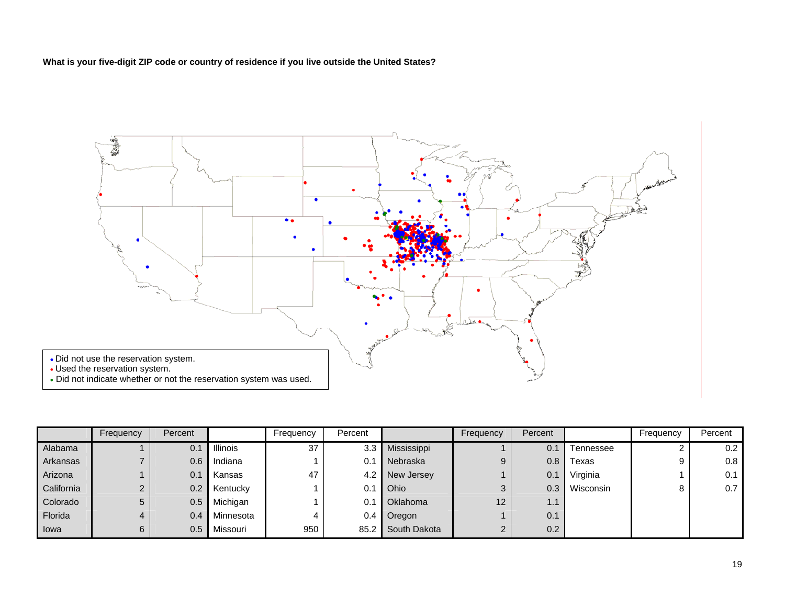**What is your five-digit ZIP code or country of residence if you live outside the United States?** 



|            | Frequency | Percent |           | Frequency | Percent |              | Frequency | Percent    |           | Frequency | Percent |
|------------|-----------|---------|-----------|-----------|---------|--------------|-----------|------------|-----------|-----------|---------|
| Alabama    |           | 0.1     | Illinois  | 37        | 3.3     | Mississippi  |           | 0.1        | Tennessee |           | 0.2     |
| Arkansas   |           | 0.6     | Indiana   |           | 0.1     | Nebraska     | 9         | 0.8        | Texas     |           | 0.8     |
| Arizona    |           | 0.1     | Kansas    | 47        | 4.2     | New Jersey   |           | 0.1        | Virginia  |           | 0.1     |
| California |           | 0.2     | Kentucky  |           | ሰ 1     | Ohio         | ◠         | 0.3        | Wisconsin | 8         | 0.7     |
| Colorado   | 5         | 0.5     | Michigan  |           | 0.1     | Oklahoma     | 12        | <b>L.I</b> |           |           |         |
| Florida    |           | 0.4     | Minnesota | 4         | 0.4     | Oregon       |           | 0.1        |           |           |         |
| lowa       | 6         | 0.5     | Missouri  | 950       | 85.2    | South Dakota | $\Omega$  | 0.2        |           |           |         |